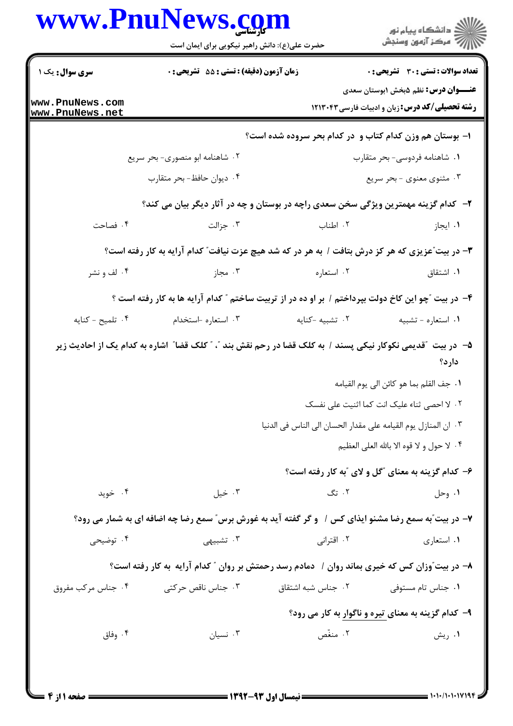|                                    | حضرت علی(ع): دانش راهبر نیکویی برای ایمان است                                                              |                                                                | ڪ دانشڪاه پيا <sub>م</sub> نور<br>۾ سرڪز آزمون وسنڊش                                                 |
|------------------------------------|------------------------------------------------------------------------------------------------------------|----------------------------------------------------------------|------------------------------------------------------------------------------------------------------|
| سری سوال: یک ۱                     | زمان آزمون (دقیقه) : تستی : 55 گشریحی : 0                                                                  |                                                                | <b>تعداد سوالات : تستی : 30 ٪ تشریحی : 0</b>                                                         |
| www.PnuNews.com<br>www.PnuNews.net |                                                                                                            |                                                                | <b>عنـــوان درس:</b> نظم ۵بخش ۱بوستان سعدی<br><b>رشته تحصیلی/کد درس:</b> زبان و ادبیات فارسی ۱۲۱۳۰۴۳ |
|                                    |                                                                                                            | ۱– بوستان هم وزن کدام کتاب و ً در کدام بحر سروده شده است؟      |                                                                                                      |
|                                    | ۰۲ شاهنامه ابو منصوری- بحر سریع                                                                            |                                                                | ۰۱ شاهنامه فردوسی- بحر متقارب                                                                        |
|                                    | ۰۴ ديوان حافظ- بحر متقارب                                                                                  |                                                                | ۰۳ مثنوی معنوی - بحر سریع                                                                            |
|                                    | ۲- کدام گزینه مهمترین ویژگی سخن سعدی راچه در بوستان و چه در آثار دیگر بیان می کند؟                         |                                                                |                                                                                                      |
| ۰۴ فصاحت                           | ۰۳ جزالت                                                                                                   | ۰۲ اطناب                                                       | ۰۱ ایجاز                                                                                             |
|                                    | ۳- در بیت ؒعزیزی که هر کز درش بتافت / به هر در که شد هیچ عزت نیافت ؒ کدام آرایه به کار رفته است؟           |                                                                |                                                                                                      |
| ۰۴ لف و نشر                        | ۰۳ مجاز                                                                                                    | ۰۲ استعاره                                                     | ۰۱ اشتقاق                                                                                            |
|                                    | ۴- در بیت ″چو این کاخ دولت بپرداختم / بر او ده در از تربیت ساختم ″ کدام آرایه ها به کار رفته است ؟         |                                                                |                                                                                                      |
| ۰۴ تلمیح - کنایه                   | ۰۳ استعاره -استخدام                                                                                        | ٠٢ تشبيه -كنايه                                                | ٠١ استعاره - تشبيه                                                                                   |
|                                    | ۵–۔ در بیت آقدیمی نکوکار نیکی پسند / به کلک قضا در رحم نقش بند "، "کلک قضا" اشاره به کدام یک از احادیث زیر |                                                                | دارد؟                                                                                                |
|                                    |                                                                                                            |                                                                | ٠١. جف القلم بما هو كائن الى يوم القيامه                                                             |
|                                    |                                                                                                            | ٢. لا احصى ثناء عليک انت کما اثنيت على نفسک                    |                                                                                                      |
|                                    |                                                                                                            | ٠٣ ان المنازل يوم القيامه على مقدار الحسان الى الناس في الدنيا |                                                                                                      |
|                                    |                                                                                                            |                                                                | ۰۴ لا حول و لا قوه الا بالله العلى العظيم                                                            |
|                                    |                                                                                                            | ۶- کدام گزینه به معنای "گل و لای "به کار رفته است؟             |                                                                                                      |
|                                    |                                                                                                            |                                                                |                                                                                                      |
| ۰۴ خوید                            | ۰۳ خیل                                                                                                     | ۰۲ تگ                                                          | ۰۱ وحل                                                                                               |
|                                    | ۷- در بیت ّبه سمع رضا مشنو ایذای کس / و گر گفته آید به غورش برس ّ سمع رضا چه اضافه ای به شمار می رود؟      |                                                                |                                                                                                      |
| ۰۴ توضیحی                          | ۰۳ تشبیهی                                                                                                  | ۰۲ اقترانی                                                     | ۰۱ استعاری                                                                                           |
|                                    | ۸– در بیت ٌوزان کس که خیری بماند روان / ۖ دمادم رسد رحمتش بر روان " کدام آرایه ۖ به کار رفته است؟          |                                                                |                                                                                                      |
| ۰۴ جناس مرکب مفروق                 | ۰۳ جناس ناقص حرکتی                                                                                         | ۰۲ جناس شبه اشتقاق                                             | ۰۱ جناس تام مستوفی                                                                                   |
|                                    |                                                                                                            | ۹- کدام گزینه به معنای تیره و ناگوار به کار می رود؟            |                                                                                                      |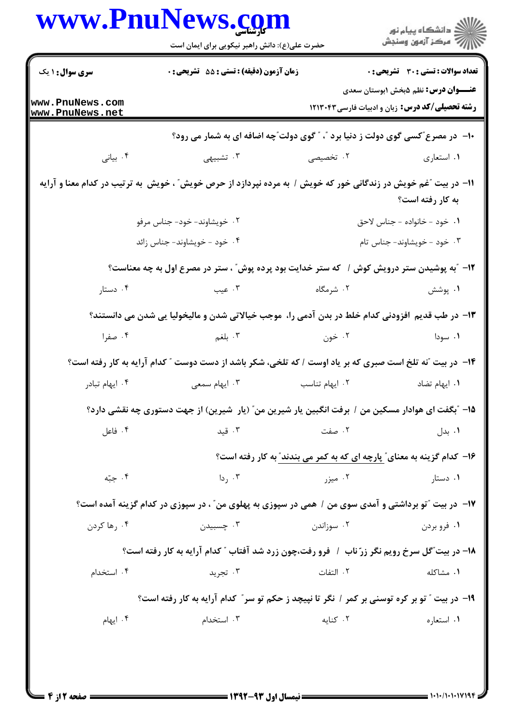|                                    | www.PnuNews.com<br>حضرت علی(ع): دانش راهبر نیکویی برای ایمان است                                               |                | ڪ دانشڪاه پيام نور<br>پ <sup>ر</sup> مرڪز آزمون وسنڊش                                         |
|------------------------------------|----------------------------------------------------------------------------------------------------------------|----------------|-----------------------------------------------------------------------------------------------|
| <b>سری سوال : ۱ یک</b>             | زمان آزمون (دقیقه) : تستی : 55 آتشریحی : 0                                                                     |                | <b>تعداد سوالات : تستي : 30 ٪ تشريحي : 0</b>                                                  |
| www.PnuNews.com<br>www.PnuNews.net |                                                                                                                |                | <b>عنـــوان درس:</b> نظم ۵بخش ۱بوستان سعدی<br>رشته تحصیلی/کد درس: زبان و ادبیات فارسی ۱۲۱۳۰۴۳ |
|                                    | ۱۰− در مصرع "کسی گوی دولت ز دنیا برد "، " گوی دولت ّچه اضافه ای به شمار می رود؟                                |                |                                                                                               |
| ۰۴ بيانى                           | ۰۳ تشبیهی                                                                                                      | ۲. تخصیصی      | ۰۱ استعاري                                                                                    |
|                                    | 11- در بیت "غم خویش در زندگانی خور که خویش / به مرده نپردازد از حرص خویش" ، خویش به ترتیب در کدام معنا و آرایه |                | به کار رفته است؟                                                                              |
|                                    | ۲. خویشاوند- خود- جناس مرفو                                                                                    |                | ١. خود - خانواده - جناس لاحق                                                                  |
|                                    | ۴. خود - خویشاوند- جناس زائد                                                                                   |                | ۰۳ خود - خویشاوند- جناس تام                                                                   |
|                                    | ۱۲- آبه پوشیدن ستر درویش کوش / که ستر خدایت بود پرده پوش ّ ، ستر در مصرع اول به چه معناست؟                     |                |                                                                                               |
| ۰۴ دستار                           | ۰۳ عیب                                                                                                         | ۰۲ شرمگاه      | ۰۱ پوشش                                                                                       |
|                                    | ۱۳– در طب قدیم افزودنی کدام خلط در بدن آدمی را، موجب خیالاتی شدن و مالیخولیا یی شدن می دانستند؟                |                |                                                                                               |
| ۰۴ صفرا                            | ۲. خون مسلسل پر است به سال میشود و تر می کند و تر است که است که در این می کند و تر است که است که از ک          |                | ۰۱ سودا                                                                                       |
|                                    | ۱۴– در بیت آنه تلخ است صبری که بر یاد اوست / که تلخی، شکر باشد از دست دوست " کدام آرایه به کار رفته است؟       |                |                                                                                               |
| ۰۴ ایهام تبادر                     | ۰۳ ایهام سمعی                                                                                                  | ۰۲ ایهام تناسب | ۰۱ ایهام تضاد                                                                                 |
|                                    | ۱۵− ″بگفت ای هوادار مسکین من / برفت انگبین یار شیرین من″ (یار ۖ شیرین) از جهت دستوری چه نقشی دارد؟             |                |                                                                                               |
| ۰۴ فاعل                            | ۰۳ قىد                                                                                                         | ۰۲ صفت         | ۰۱. بدل                                                                                       |
|                                    |                                                                                                                |                | ۱۶- کدام گزینه به معنای ؒ پارچه ای که به کمر می بندند ؒ به کار رفته است؟                      |
| ۰۴ جبّه                            | ۰۳ ردا                                                                                                         | ۰۲ میزر        | ۰۱ دستار                                                                                      |
|                                    | <b>۱۷</b> - در بیت "تو برداشتی و آمدی سوی من / همی در سپوزی به پهلوی من" ، در سپوزی در کدام گزینه آمده است؟    |                |                                                                                               |
| ۰۴ , ها کردن $\cdot$               | ۰۳ چسبیدن                                                                                                      | ۰۲ سوزاندن     | ۰۱ فرو بردن                                                                                   |
|                                    | ۱۸- در بیت ؒگل سرخ رویم نگر زرّ ناب ۱ فرو رفت،چون زرد شد آفتاب ؒ کدام آرایه به کار رفته است؟                   |                |                                                                                               |
| ۰۴ استخدام                         | ۰۳ تجرید                                                                                                       | ٠٢ التفات      | ۰۱ مشاکله                                                                                     |
|                                    | ۱۹- در بیت " تو بر کره توسنی بر کمر / نگر تا نپیچد ز حکم تو سر " کدام آرایه به کار رفته است؟                   |                |                                                                                               |
| ۰۴ ایهام                           | ۰۳ استخدام                                                                                                     | ۰۲ کنایه       | ٠١. استعاره                                                                                   |
|                                    |                                                                                                                |                |                                                                                               |
|                                    |                                                                                                                |                |                                                                                               |

 $= 1.1.11.11111$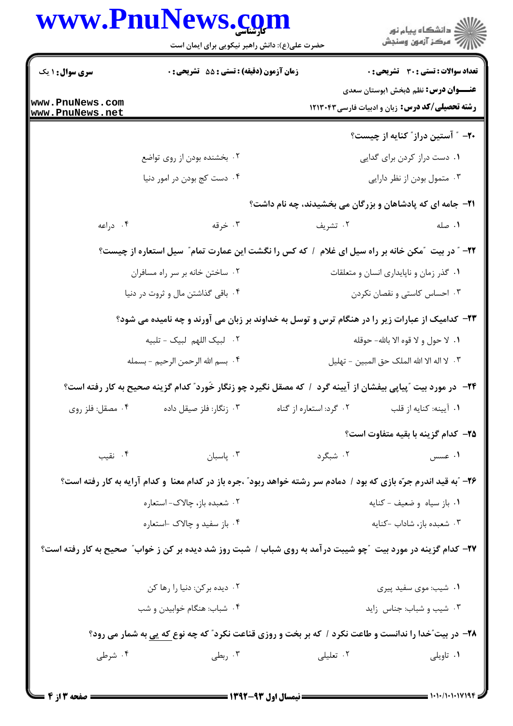|                                    | حضرت علی(ع): دانش راهبر نیکویی برای ایمان است | ِ<br>∭ دانشڪاه پيام نور<br>∭ مرڪز آزمون وسنڊش                                                                       |  |
|------------------------------------|-----------------------------------------------|---------------------------------------------------------------------------------------------------------------------|--|
| <b>سری سوال : ۱ یک</b>             | زمان آزمون (دقیقه) : تستی : 55 آتشریحی : 0    | <b>تعداد سوالات : تستي : 30 ٪ تشريحي : 0</b>                                                                        |  |
|                                    |                                               | <b>عنـــوان درس:</b> نظم ۵بخش ۱بوستان سعدی                                                                          |  |
| www.PnuNews.com<br>www.PnuNews.net |                                               | <b>رشته تحصیلی/کد درس:</b> زبان و ادبیات فارسی ۱۲۱۳۰۴۳                                                              |  |
|                                    |                                               | <b>+۲-</b> ″ آستین دراز″ کنایه از چیست؟                                                                             |  |
|                                    | ۰۲ بخشنده بودن از روی تواضع                   | ۰۱ دست دراز کردن برای گدایی                                                                                         |  |
|                                    | ۰۴ دست کج بودن در امور دنیا                   | ۰۳ متمول بودن از نظر دارایی                                                                                         |  |
|                                    |                                               | <b>۲۱</b> - جامه ای که پادشاهان و بزرگان می بخشیدند، چه نام داشت؟                                                   |  |
| ۰۴ دراعه                           | ۰۳ خرقه                                       | ٠١ صله<br>۰۲ تشریف                                                                                                  |  |
|                                    |                                               | <b>۲۲</b> - ″ در بیت ″مکن خانه بر راه سیل ای غلام ۱ که کس را نگشت این عمارت تمام″ سیل استعاره از چیست؟              |  |
|                                    | ۰۲ ساختن خانه بر سر راه مسافران               | ۰۱ گذر زمان و ناپایداری انسان و متعلقات                                                                             |  |
|                                    | ۰۴ باقی گذاشتن مال و ثروت در دنیا             | ۰۳ احساس کاستی و نقصان نکردن                                                                                        |  |
|                                    |                                               | ۲۳- کدامیک از عبارات زیر را در هنگام ترس و توسل به خداوند بر زبان می آورند و چه نامیده می شود؟                      |  |
|                                    | ٢. لبيک اللهم لبيک - تلبيه                    | ٠١ لا حول و لا قوه الا بالله– حوقله                                                                                 |  |
|                                    | ۴. بسم الله الرحمن الرحيم – بسمله             | ٠٣ لا اله الا الله الملك حق المبين - تهليل                                                                          |  |
|                                    |                                               | <b>۳۴</b> − در مورد بیت ″پیاپی بیفشان از آیینه گرد / که مصقل نگیرد چو زنگار خُورد″ کدام گزینه صحیح به کار رفته است؟ |  |
| ۰۴ مصقل: فلز روي                   | ۰۳ زنگار: فلز صيقل داده                       | ۰۲ گرد: استعاره از گناه<br>٠١. آيينه: كنايه از قلب                                                                  |  |
|                                    |                                               | ۲۵– کدام گزینه با بقیه متفاوت است؟                                                                                  |  |
| ۰۴ نقیب                            | ۰۳ پاسبان                                     | ۰۲ شبگرد<br>۰۱ عسس                                                                                                  |  |
|                                    |                                               | ۲۶- "به قید اندرم جرّه بازی که بود / دمادم سر رشته خواهد ربود" ،جره باز در کدام معنا و کدام آرایه به کار رفته است؟  |  |
|                                    | ۰۲ شعبده باز، چالاک- استعاره                  | ٠١ باز سياه وضعيف - كنايه                                                                                           |  |
|                                    | ۰۴ باز سفید و چالاک -استعاره                  | ۰۳ شعبده باز، شاداب -کنایه                                                                                          |  |
|                                    |                                               | ۲۷– کدام گزینه در مورد بیت ″چو شیبت درآمد به روی شباب / شبت روز شد دیده بر کن ز خواب″ صحیح به کار رفته است؟         |  |
|                                    | ٠٢ ديده بركن: دنيا را رها كن                  | ٠١ شيب: موى سفيد پيرى                                                                                               |  |
|                                    | ۰۴ شباب: هنگام خوابیدن و شب                   | ۰۳ شیب و شباب: جناس زاید                                                                                            |  |
|                                    |                                               | <b>۲۸</b> - در بیت ؒخدا را ندانست و طاعت نکرد / که بر بخت و روزی قناعت نکرد ؒ که چه نوع که یی به شمار می رود؟       |  |
|                                    |                                               |                                                                                                                     |  |